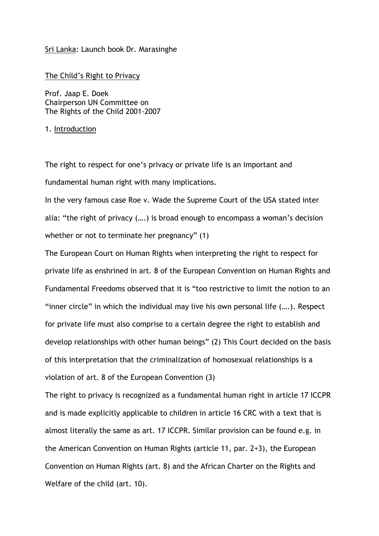# Sri Lanka: Launch book Dr. Marasinghe

The Child's Right to Privacy

Prof. Jaap E. Doek Chairperson UN Committee on The Rights of the Child 2001-2007

# 1. Introduction

The right to respect for one's privacy or private life is an important and fundamental human right with many implications.

In the very famous case Roe v. Wade the Supreme Court of the USA stated inter alia: "the right of privacy (….) is broad enough to encompass a woman's decision whether or not to terminate her pregnancy" (1)

The European Court on Human Rights when interpreting the right to respect for private life as enshrined in art. 8 of the European Convention on Human Rights and Fundamental Freedoms observed that it is "too restrictive to limit the notion to an "inner circle" in which the individual may live his own personal life (….). Respect for private life must also comprise to a certain degree the right to establish and develop relationships with other human beings" (2) This Court decided on the basis of this interpretation that the criminalization of homosexual relationships is a violation of art. 8 of the European Convention (3)

The right to privacy is recognized as a fundamental human right in article 17 ICCPR and is made explicitly applicable to children in article 16 CRC with a text that is almost literally the same as art. 17 ICCPR. Similar provision can be found e.g. in the American Convention on Human Rights (article 11, par. 2+3), the European Convention on Human Rights (art. 8) and the African Charter on the Rights and Welfare of the child (art. 10).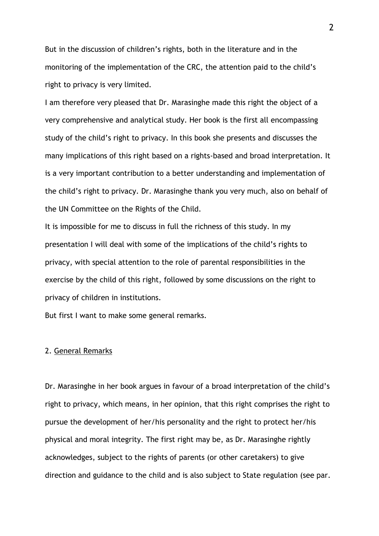But in the discussion of children's rights, both in the literature and in the monitoring of the implementation of the CRC, the attention paid to the child's right to privacy is very limited.

I am therefore very pleased that Dr. Marasinghe made this right the object of a very comprehensive and analytical study. Her book is the first all encompassing study of the child's right to privacy. In this book she presents and discusses the many implications of this right based on a rights-based and broad interpretation. It is a very important contribution to a better understanding and implementation of the child's right to privacy. Dr. Marasinghe thank you very much, also on behalf of the UN Committee on the Rights of the Child.

It is impossible for me to discuss in full the richness of this study. In my presentation I will deal with some of the implications of the child's rights to privacy, with special attention to the role of parental responsibilities in the exercise by the child of this right, followed by some discussions on the right to privacy of children in institutions.

But first I want to make some general remarks.

### 2. General Remarks

Dr. Marasinghe in her book argues in favour of a broad interpretation of the child's right to privacy, which means, in her opinion, that this right comprises the right to pursue the development of her/his personality and the right to protect her/his physical and moral integrity. The first right may be, as Dr. Marasinghe rightly acknowledges, subject to the rights of parents (or other caretakers) to give direction and guidance to the child and is also subject to State regulation (see par.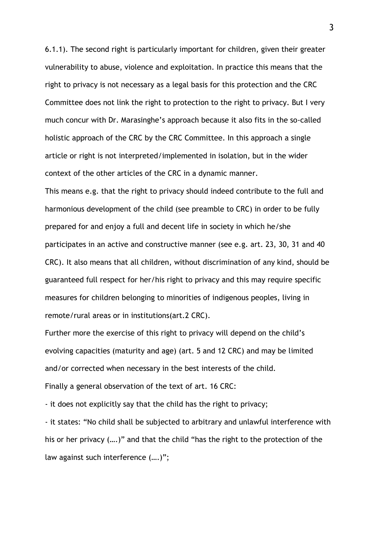6.1.1). The second right is particularly important for children, given their greater vulnerability to abuse, violence and exploitation. In practice this means that the right to privacy is not necessary as a legal basis for this protection and the CRC Committee does not link the right to protection to the right to privacy. But I very much concur with Dr. Marasinghe's approach because it also fits in the so-called holistic approach of the CRC by the CRC Committee. In this approach a single article or right is not interpreted/implemented in isolation, but in the wider context of the other articles of the CRC in a dynamic manner.

This means e.g. that the right to privacy should indeed contribute to the full and harmonious development of the child (see preamble to CRC) in order to be fully prepared for and enjoy a full and decent life in society in which he/she participates in an active and constructive manner (see e.g. art. 23, 30, 31 and 40 CRC). It also means that all children, without discrimination of any kind, should be guaranteed full respect for her/his right to privacy and this may require specific measures for children belonging to minorities of indigenous peoples, living in remote/rural areas or in institutions(art.2 CRC).

Further more the exercise of this right to privacy will depend on the child's evolving capacities (maturity and age) (art. 5 and 12 CRC) and may be limited and/or corrected when necessary in the best interests of the child. Finally a general observation of the text of art. 16 CRC:

- it does not explicitly say that the child has the right to privacy;

- it states: "No child shall be subjected to arbitrary and unlawful interference with his or her privacy (….)" and that the child "has the right to the protection of the law against such interference (….)";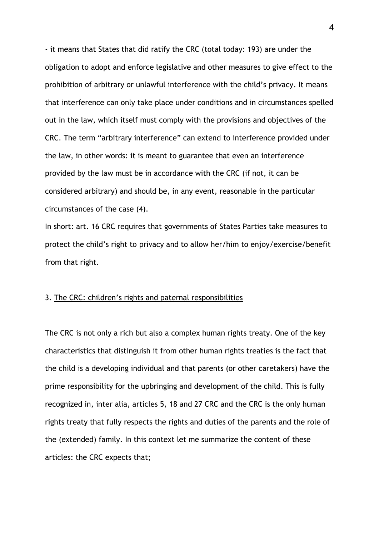- it means that States that did ratify the CRC (total today: 193) are under the obligation to adopt and enforce legislative and other measures to give effect to the prohibition of arbitrary or unlawful interference with the child's privacy. It means that interference can only take place under conditions and in circumstances spelled out in the law, which itself must comply with the provisions and objectives of the CRC. The term "arbitrary interference" can extend to interference provided under the law, in other words: it is meant to guarantee that even an interference provided by the law must be in accordance with the CRC (if not, it can be considered arbitrary) and should be, in any event, reasonable in the particular circumstances of the case (4).

In short: art. 16 CRC requires that governments of States Parties take measures to protect the child's right to privacy and to allow her/him to enjoy/exercise/benefit from that right.

### 3. The CRC: children's rights and paternal responsibilities

The CRC is not only a rich but also a complex human rights treaty. One of the key characteristics that distinguish it from other human rights treaties is the fact that the child is a developing individual and that parents (or other caretakers) have the prime responsibility for the upbringing and development of the child. This is fully recognized in, inter alia, articles 5, 18 and 27 CRC and the CRC is the only human rights treaty that fully respects the rights and duties of the parents and the role of the (extended) family. In this context let me summarize the content of these articles: the CRC expects that;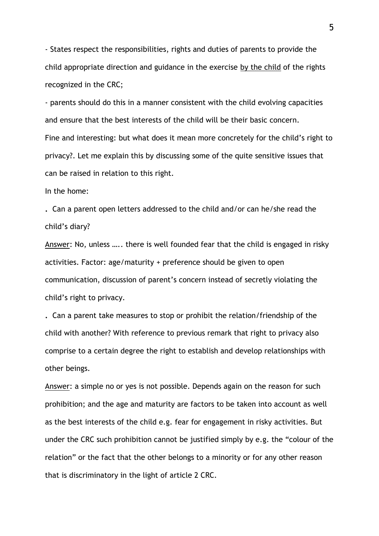- States respect the responsibilities, rights and duties of parents to provide the child appropriate direction and guidance in the exercise by the child of the rights recognized in the CRC;

- parents should do this in a manner consistent with the child evolving capacities and ensure that the best interests of the child will be their basic concern. Fine and interesting: but what does it mean more concretely for the child's right to privacy?. Let me explain this by discussing some of the quite sensitive issues that can be raised in relation to this right.

In the home:

**.** Can a parent open letters addressed to the child and/or can he/she read the child's diary?

Answer: No, unless ….. there is well founded fear that the child is engaged in risky activities. Factor: age/maturity + preference should be given to open communication, discussion of parent's concern instead of secretly violating the child's right to privacy.

**.** Can a parent take measures to stop or prohibit the relation/friendship of the child with another? With reference to previous remark that right to privacy also comprise to a certain degree the right to establish and develop relationships with other beings.

Answer: a simple no or yes is not possible. Depends again on the reason for such prohibition; and the age and maturity are factors to be taken into account as well as the best interests of the child e.g. fear for engagement in risky activities. But under the CRC such prohibition cannot be justified simply by e.g. the "colour of the relation" or the fact that the other belongs to a minority or for any other reason that is discriminatory in the light of article 2 CRC.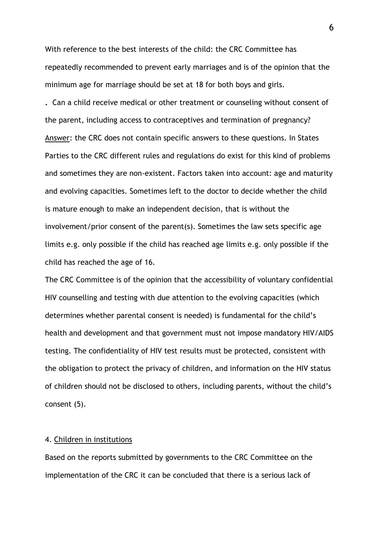With reference to the best interests of the child: the CRC Committee has repeatedly recommended to prevent early marriages and is of the opinion that the minimum age for marriage should be set at 18 for both boys and girls.

**.** Can a child receive medical or other treatment or counseling without consent of the parent, including access to contraceptives and termination of pregnancy? Answer: the CRC does not contain specific answers to these questions. In States Parties to the CRC different rules and regulations do exist for this kind of problems and sometimes they are non-existent. Factors taken into account: age and maturity and evolving capacities. Sometimes left to the doctor to decide whether the child is mature enough to make an independent decision, that is without the involvement/prior consent of the parent(s). Sometimes the law sets specific age limits e.g. only possible if the child has reached age limits e.g. only possible if the child has reached the age of 16.

The CRC Committee is of the opinion that the accessibility of voluntary confidential HIV counselling and testing with due attention to the evolving capacities (which determines whether parental consent is needed) is fundamental for the child's health and development and that government must not impose mandatory HIV/AIDS testing. The confidentiality of HIV test results must be protected, consistent with the obligation to protect the privacy of children, and information on the HIV status of children should not be disclosed to others, including parents, without the child's consent (5).

#### 4. Children in institutions

Based on the reports submitted by governments to the CRC Committee on the implementation of the CRC it can be concluded that there is a serious lack of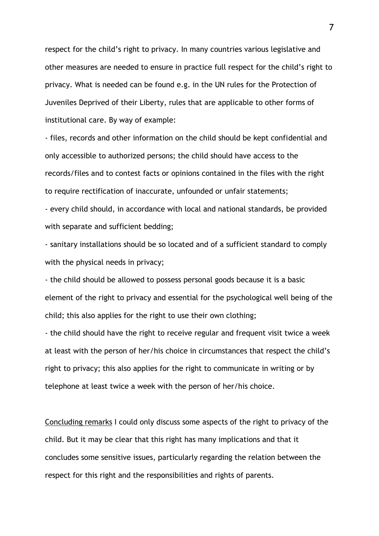respect for the child's right to privacy. In many countries various legislative and other measures are needed to ensure in practice full respect for the child's right to privacy. What is needed can be found e.g. in the UN rules for the Protection of Juveniles Deprived of their Liberty, rules that are applicable to other forms of institutional care. By way of example:

- files, records and other information on the child should be kept confidential and only accessible to authorized persons; the child should have access to the records/files and to contest facts or opinions contained in the files with the right to require rectification of inaccurate, unfounded or unfair statements; - every child should, in accordance with local and national standards, be provided

with separate and sufficient bedding;

- sanitary installations should be so located and of a sufficient standard to comply with the physical needs in privacy;

- the child should be allowed to possess personal goods because it is a basic element of the right to privacy and essential for the psychological well being of the child; this also applies for the right to use their own clothing;

- the child should have the right to receive regular and frequent visit twice a week at least with the person of her/his choice in circumstances that respect the child's right to privacy; this also applies for the right to communicate in writing or by telephone at least twice a week with the person of her/his choice.

Concluding remarks I could only discuss some aspects of the right to privacy of the child. But it may be clear that this right has many implications and that it concludes some sensitive issues, particularly regarding the relation between the respect for this right and the responsibilities and rights of parents.